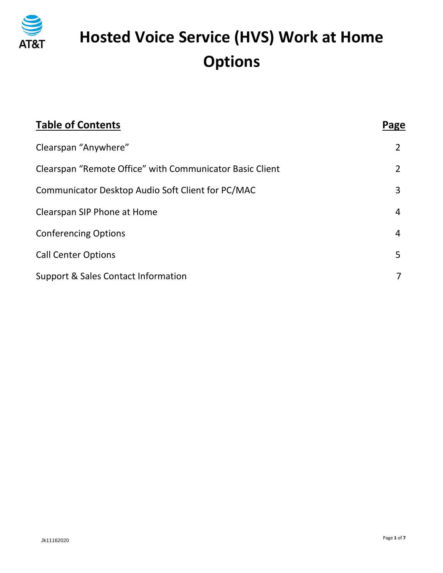

| <b>Table of Contents</b>                                 | Page           |
|----------------------------------------------------------|----------------|
| Clearspan "Anywhere"                                     | $\overline{2}$ |
| Clearspan "Remote Office" with Communicator Basic Client | 2              |
| Communicator Desktop Audio Soft Client for PC/MAC        | 3              |
| Clearspan SIP Phone at Home                              | 4              |
| <b>Conferencing Options</b>                              | 4              |
| <b>Call Center Options</b>                               | 5              |
| Support & Sales Contact Information                      | 7              |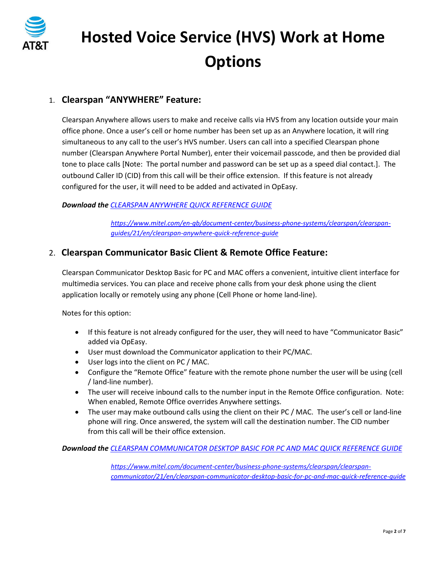

## 1. **Clearspan "ANYWHERE" Feature:**

Clearspan Anywhere allows users to make and receive calls via HVS from any location outside your main office phone. Once a user's cell or home number has been set up as an Anywhere location, it will ring simultaneous to any call to the user's HVS number. Users can call into a specified Clearspan phone number (Clearspan Anywhere Portal Number), enter their voicemail passcode, and then be provided dial tone to place calls [Note: The portal number and password can be set up as a speed dial contact.]. The outbound Caller ID (CID) from this call will be their office extension. If this feature is not already configured for the user, it will need to be added and activated in OpEasy.

### *Download the [CLEARSPAN ANYWHERE QUICK REFERENCE GUIDE](https://www.mitel.com/en-gb/document-center/business-phone-systems/clearspan/clearspan-guides/21/en/clearspan-anywhere-quick-reference-guide)*

*[https://www.mitel.com/en-gb/document-center/business-phone-systems/clearspan/clearspan](https://www.mitel.com/en-gb/document-center/business-phone-systems/clearspan/clearspan-guides/21/en/clearspan-anywhere-quick-reference-guide)[guides/21/en/clearspan-anywhere-quick-reference-guide](https://www.mitel.com/en-gb/document-center/business-phone-systems/clearspan/clearspan-guides/21/en/clearspan-anywhere-quick-reference-guide)*

## 2. **Clearspan Communicator Basic Client & Remote Office Feature:**

Clearspan Communicator Desktop Basic for PC and MAC offers a convenient, intuitive client interface for multimedia services. You can place and receive phone calls from your desk phone using the client application locally or remotely using any phone (Cell Phone or home land-line).

Notes for this option:

- If this feature is not already configured for the user, they will need to have "Communicator Basic" added via OpEasy.
- User must download the Communicator application to their PC/MAC.
- User logs into the client on PC / MAC.
- Configure the "Remote Office" feature with the remote phone number the user will be using (cell / land-line number).
- The user will receive inbound calls to the number input in the Remote Office configuration. Note: When enabled, Remote Office overrides Anywhere settings.
- The user may make outbound calls using the client on their PC / MAC. The user's cell or land-line phone will ring. Once answered, the system will call the destination number. The CID number from this call will be their office extension.

*Download the [CLEARSPAN COMMUNICATOR DESKTOP BASIC FOR PC AND MAC QUICK REFERENCE GUIDE](https://www.mitel.com/document-center/business-phone-systems/clearspan/clearspan-communicator/21/en/clearspan-communicator-desktop-basic-for-pc-and-mac-quick-reference-guide)*

*[https://www.mitel.com/document-center/business-phone-systems/clearspan/clearspan](https://www.mitel.com/document-center/business-phone-systems/clearspan/clearspan-communicator/21/en/clearspan-communicator-desktop-basic-for-pc-and-mac-quick-reference-guide)[communicator/21/en/clearspan-communicator-desktop-basic-for-pc-and-mac-quick-reference-guide](https://www.mitel.com/document-center/business-phone-systems/clearspan/clearspan-communicator/21/en/clearspan-communicator-desktop-basic-for-pc-and-mac-quick-reference-guide)*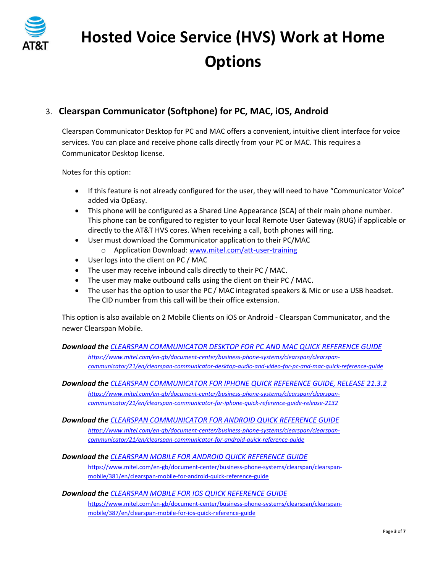

## 3. **Clearspan Communicator (Softphone) for PC, MAC, iOS, Android**

Clearspan Communicator Desktop for PC and MAC offers a convenient, intuitive client interface for voice services. You can place and receive phone calls directly from your PC or MAC. This requires a Communicator Desktop license.

Notes for this option:

- If this feature is not already configured for the user, they will need to have "Communicator Voice" added via OpEasy.
- This phone will be configured as a Shared Line Appearance (SCA) of their main phone number. This phone can be configured to register to your local Remote User Gateway (RUG) if applicable or directly to the AT&T HVS cores. When receiving a call, both phones will ring.
- User must download the Communicator application to their PC/MAC o Application Download: [www.mitel.com/att-user-training](http://www.mitel.com/att-user-training)
- User logs into the client on PC / MAC
- The user may receive inbound calls directly to their PC / MAC.
- The user may make outbound calls using the client on their PC / MAC.
- The user has the option to user the PC / MAC integrated speakers & Mic or use a USB headset. The CID number from this call will be their office extension.

This option is also available on 2 Mobile Clients on iOS or Android - Clearspan Communicator, and the newer Clearspan Mobile.

*Download the [CLEARSPAN COMMUNICATOR DESKTOP FOR PC AND MAC QUICK REFERENCE GUIDE](https://www.mitel.com/en-gb/document-center/business-phone-systems/clearspan/clearspan-communicator/21/en/clearspan-communicator-desktop-audio-and-video-for-pc-and-mac-quick-reference-guide) [https://www.mitel.com/en-gb/document-center/business-phone-systems/clearspan/clearspan](https://www.mitel.com/en-gb/document-center/business-phone-systems/clearspan/clearspan-communicator/21/en/clearspan-communicator-desktop-audio-and-video-for-pc-and-mac-quick-reference-guide)[communicator/21/en/clearspan-communicator-desktop-audio-and-video-for-pc-and-mac-quick-reference-guide](https://www.mitel.com/en-gb/document-center/business-phone-systems/clearspan/clearspan-communicator/21/en/clearspan-communicator-desktop-audio-and-video-for-pc-and-mac-quick-reference-guide)*

*Download the [CLEARSPAN COMMUNICATOR FOR IPHONE QUICK REFERENCE GUIDE, RELEASE 21.3.2](https://www.mitel.com/en-gb/document-center/business-phone-systems/clearspan/clearspan-communicator/21/en/clearspan-communicator-for-iphone-quick-reference-guide-release-2132)*

*[https://www.mitel.com/en-gb/document-center/business-phone-systems/clearspan/clearspan](https://www.mitel.com/en-gb/document-center/business-phone-systems/clearspan/clearspan-communicator/21/en/clearspan-communicator-for-iphone-quick-reference-guide-release-2132)[communicator/21/en/clearspan-communicator-for-iphone-quick-reference-guide-release-2132](https://www.mitel.com/en-gb/document-center/business-phone-systems/clearspan/clearspan-communicator/21/en/clearspan-communicator-for-iphone-quick-reference-guide-release-2132)*

*Download the [CLEARSPAN COMMUNICATOR FOR ANDROID QUICK REFERENCE GUIDE](https://www.mitel.com/en-gb/document-center/business-phone-systems/clearspan/clearspan-communicator/21/en/clearspan-communicator-for-android-quick-reference-guide) [https://www.mitel.com/en-gb/document-center/business-phone-systems/clearspan/clearspan](https://www.mitel.com/en-gb/document-center/business-phone-systems/clearspan/clearspan-communicator/21/en/clearspan-communicator-for-android-quick-reference-guide)[communicator/21/en/clearspan-communicator-for-android-quick-reference-guide](https://www.mitel.com/en-gb/document-center/business-phone-systems/clearspan/clearspan-communicator/21/en/clearspan-communicator-for-android-quick-reference-guide)*

### *Download the [CLEARSPAN MOBILE FOR ANDROID QUICK REFERENCE GUIDE](https://www.mitel.com/en-gb/document-center/business-phone-systems/clearspan/clearspan-mobile/381/en/clearspan-mobile-for-android-quick-reference-guide)*

[https://www.mitel.com/en-gb/document-center/business-phone-systems/clearspan/clearspan](https://www.mitel.com/en-gb/document-center/business-phone-systems/clearspan/clearspan-mobile/381/en/clearspan-mobile-for-android-quick-reference-guide)[mobile/381/en/clearspan-mobile-for-android-quick-reference-guide](https://www.mitel.com/en-gb/document-center/business-phone-systems/clearspan/clearspan-mobile/381/en/clearspan-mobile-for-android-quick-reference-guide)

### *Download the [CLEARSPAN MOBILE FOR IOS QUICK REFERENCE GUIDE](https://www.mitel.com/en-gb/document-center/business-phone-systems/clearspan/clearspan-mobile/387/en/clearspan-mobile-for-ios-quick-reference-guide)*

[https://www.mitel.com/en-gb/document-center/business-phone-systems/clearspan/clearspan](https://www.mitel.com/en-gb/document-center/business-phone-systems/clearspan/clearspan-mobile/387/en/clearspan-mobile-for-ios-quick-reference-guide)[mobile/387/en/clearspan-mobile-for-ios-quick-reference-guide](https://www.mitel.com/en-gb/document-center/business-phone-systems/clearspan/clearspan-mobile/387/en/clearspan-mobile-for-ios-quick-reference-guide)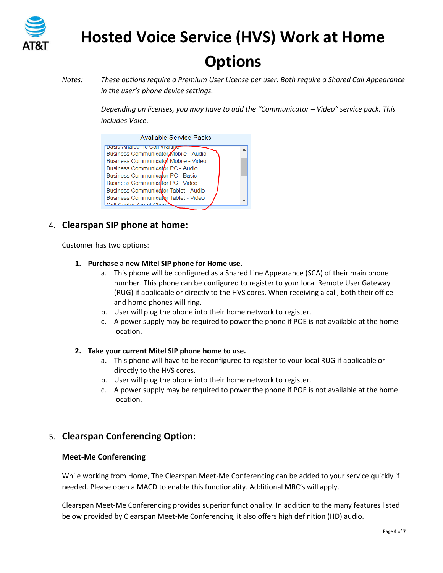

*Notes: These options require a Premium User License per user. Both require a Shared Call Appearance in the user's phone device settings.*

> *Depending on licenses, you may have to add the "Communicator – Video" service pack. This includes Voice.*

| Available Service Packs                     |  |  |
|---------------------------------------------|--|--|
| <b>Basic Analog no Call Walling</b>         |  |  |
| Business Communicator Mobile - Audio        |  |  |
| Business Communicator Mobile - Video        |  |  |
| Business Communicator PC - Audio            |  |  |
| <b>Business Communicator PC - Basic</b>     |  |  |
| <b>Business Communicator PC - Video</b>     |  |  |
| <b>Business Communicator Tablet - Audio</b> |  |  |
| Business Communicator Tablet - Video        |  |  |
| Contar Agant Client                         |  |  |
|                                             |  |  |

## 4. **Clearspan SIP phone at home:**

Customer has two options:

### **1. Purchase a new Mitel SIP phone for Home use.**

- a. This phone will be configured as a Shared Line Appearance (SCA) of their main phone number. This phone can be configured to register to your local Remote User Gateway (RUG) if applicable or directly to the HVS cores. When receiving a call, both their office and home phones will ring.
- b. User will plug the phone into their home network to register.
- c. A power supply may be required to power the phone if POE is not available at the home location.

### **2. Take your current Mitel SIP phone home to use.**

- a. This phone will have to be reconfigured to register to your local RUG if applicable or directly to the HVS cores.
- b. User will plug the phone into their home network to register.
- c. A power supply may be required to power the phone if POE is not available at the home location.

### 5. **Clearspan Conferencing Option:**

### **Meet-Me Conferencing**

While working from Home, The Clearspan Meet-Me Conferencing can be added to your service quickly if needed. Please open a MACD to enable this functionality. Additional MRC's will apply.

Clearspan Meet-Me Conferencing provides superior functionality. In addition to the many features listed below provided by Clearspan Meet-Me Conferencing, it also offers high definition (HD) audio.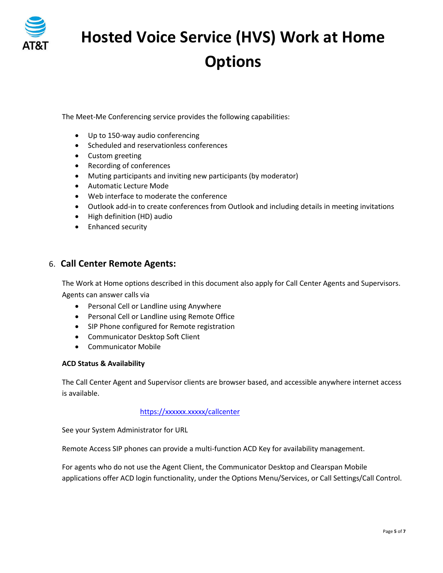

The Meet-Me Conferencing service provides the following capabilities:

- Up to 150-way audio conferencing
- Scheduled and reservationless conferences
- Custom greeting
- Recording of conferences
- Muting participants and inviting new participants (by moderator)
- Automatic Lecture Mode
- Web interface to moderate the conference
- Outlook add-in to create conferences from Outlook and including details in meeting invitations
- High definition (HD) audio
- Enhanced security

### 6. **Call Center Remote Agents:**

The Work at Home options described in this document also apply for Call Center Agents and Supervisors. Agents can answer calls via

- Personal Cell or Landline using Anywhere
- Personal Cell or Landline using Remote Office
- SIP Phone configured for Remote registration
- Communicator Desktop Soft Client
- Communicator Mobile

### **ACD Status & Availability**

The Call Center Agent and Supervisor clients are browser based, and accessible anywhere internet access is available.

### <https://xxxxxx.xxxxx/callcenter>

See your System Administrator for URL

Remote Access SIP phones can provide a multi-function ACD Key for availability management.

For agents who do not use the Agent Client, the Communicator Desktop and Clearspan Mobile applications offer ACD login functionality, under the Options Menu/Services, or Call Settings/Call Control.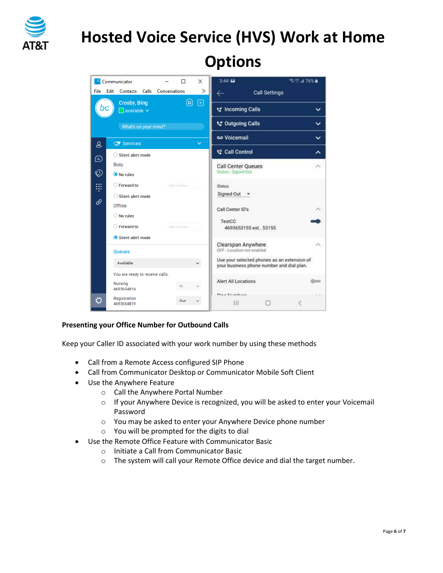



### **Presenting your Office Number for Outbound Calls**

Keep your Caller ID associated with your work number by using these methods

- Call from a Remote Access configured SIP Phone
- Call from Communicator Desktop or Communicator Mobile Soft Client
- Use the Anywhere Feature
	- o Call the Anywhere Portal Number
	- $\circ$  If your Anywhere Device is recognized, you will be asked to enter your Voicemail Password
	- o You may be asked to enter your Anywhere Device phone number
	- $\circ$  You will be prompted for the digits to dial
- Use the Remote Office Feature with Communicator Basic
	- o Initiate a Call from Communicator Basic
	- o The system will call your Remote Office device and dial the target number.